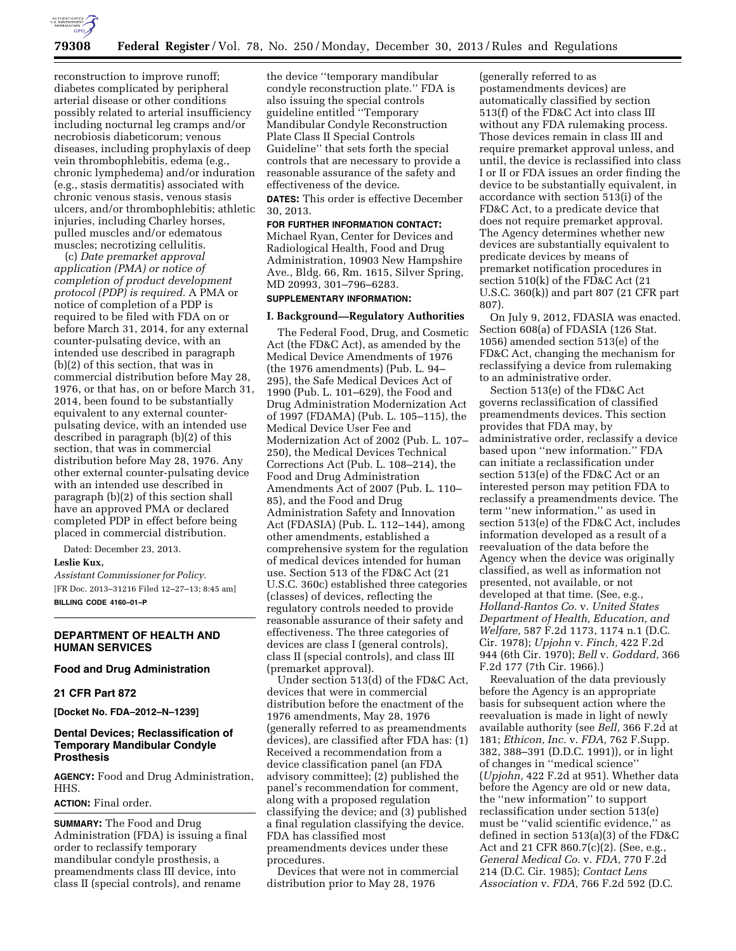

reconstruction to improve runoff; diabetes complicated by peripheral arterial disease or other conditions possibly related to arterial insufficiency including nocturnal leg cramps and/or necrobiosis diabeticorum; venous diseases, including prophylaxis of deep vein thrombophlebitis, edema (e.g., chronic lymphedema) and/or induration (e.g., stasis dermatitis) associated with chronic venous stasis, venous stasis ulcers, and/or thrombophlebitis; athletic injuries, including Charley horses, pulled muscles and/or edematous muscles; necrotizing cellulitis.

(c) *Date premarket approval application (PMA) or notice of completion of product development protocol (PDP) is required.* A PMA or notice of completion of a PDP is required to be filed with FDA on or before March 31, 2014, for any external counter-pulsating device, with an intended use described in paragraph (b)(2) of this section, that was in commercial distribution before May 28, 1976, or that has, on or before March 31, 2014, been found to be substantially equivalent to any external counterpulsating device, with an intended use described in paragraph (b)(2) of this section, that was in commercial distribution before May 28, 1976. Any other external counter-pulsating device with an intended use described in paragraph (b)(2) of this section shall have an approved PMA or declared completed PDP in effect before being placed in commercial distribution.

Dated: December 23, 2013.

# **Leslie Kux,**

*Assistant Commissioner for Policy.*  [FR Doc. 2013–31216 Filed 12–27–13; 8:45 am] **BILLING CODE 4160–01–P** 

# **DEPARTMENT OF HEALTH AND HUMAN SERVICES**

# **Food and Drug Administration**

# **21 CFR Part 872**

**[Docket No. FDA–2012–N–1239]** 

# **Dental Devices; Reclassification of Temporary Mandibular Condyle Prosthesis**

**AGENCY:** Food and Drug Administration, HHS.

#### **ACTION:** Final order.

**SUMMARY:** The Food and Drug Administration (FDA) is issuing a final order to reclassify temporary mandibular condyle prosthesis, a preamendments class III device, into class II (special controls), and rename

the device ''temporary mandibular condyle reconstruction plate.'' FDA is also issuing the special controls guideline entitled ''Temporary Mandibular Condyle Reconstruction Plate Class II Special Controls Guideline'' that sets forth the special controls that are necessary to provide a reasonable assurance of the safety and effectiveness of the device.

**DATES:** This order is effective December 30, 2013.

## **FOR FURTHER INFORMATION CONTACT:**

Michael Ryan, Center for Devices and Radiological Health, Food and Drug Administration, 10903 New Hampshire Ave., Bldg. 66, Rm. 1615, Silver Spring, MD 20993, 301–796–6283.

# **SUPPLEMENTARY INFORMATION:**

# **I. Background—Regulatory Authorities**  The Federal Food, Drug, and Cosmetic

Act (the FD&C Act), as amended by the Medical Device Amendments of 1976 (the 1976 amendments) (Pub. L. 94– 295), the Safe Medical Devices Act of 1990 (Pub. L. 101–629), the Food and Drug Administration Modernization Act of 1997 (FDAMA) (Pub. L. 105–115), the Medical Device User Fee and Modernization Act of 2002 (Pub. L. 107– 250), the Medical Devices Technical Corrections Act (Pub. L. 108–214), the Food and Drug Administration Amendments Act of 2007 (Pub. L. 110– 85), and the Food and Drug Administration Safety and Innovation Act (FDASIA) (Pub. L. 112–144), among other amendments, established a comprehensive system for the regulation of medical devices intended for human use. Section 513 of the FD&C Act (21 U.S.C. 360c) established three categories (classes) of devices, reflecting the regulatory controls needed to provide reasonable assurance of their safety and effectiveness. The three categories of devices are class I (general controls), class II (special controls), and class III (premarket approval).

Under section 513(d) of the FD&C Act, devices that were in commercial distribution before the enactment of the 1976 amendments, May 28, 1976 (generally referred to as preamendments devices), are classified after FDA has: (1) Received a recommendation from a device classification panel (an FDA advisory committee); (2) published the panel's recommendation for comment, along with a proposed regulation classifying the device; and (3) published a final regulation classifying the device. FDA has classified most preamendments devices under these procedures.

Devices that were not in commercial distribution prior to May 28, 1976

(generally referred to as postamendments devices) are automatically classified by section 513(f) of the FD&C Act into class III without any FDA rulemaking process. Those devices remain in class III and require premarket approval unless, and until, the device is reclassified into class I or II or FDA issues an order finding the device to be substantially equivalent, in accordance with section 513(i) of the FD&C Act, to a predicate device that does not require premarket approval. The Agency determines whether new devices are substantially equivalent to predicate devices by means of premarket notification procedures in section 510(k) of the FD&C Act (21 U.S.C. 360(k)) and part 807 (21 CFR part 807).

On July 9, 2012, FDASIA was enacted. Section 608(a) of FDASIA (126 Stat. 1056) amended section 513(e) of the FD&C Act, changing the mechanism for reclassifying a device from rulemaking to an administrative order.

Section 513(e) of the FD&C Act governs reclassification of classified preamendments devices. This section provides that FDA may, by administrative order, reclassify a device based upon ''new information.'' FDA can initiate a reclassification under section 513(e) of the FD&C Act or an interested person may petition FDA to reclassify a preamendments device. The term ''new information,'' as used in section 513(e) of the FD&C Act, includes information developed as a result of a reevaluation of the data before the Agency when the device was originally classified, as well as information not presented, not available, or not developed at that time. (See, e.g., *Holland-Rantos Co.* v. *United States Department of Health, Education, and Welfare,* 587 F.2d 1173, 1174 n.1 (D.C. Cir. 1978); *Upjohn* v. *Finch,* 422 F.2d 944 (6th Cir. 1970); *Bell* v. *Goddard,* 366 F.2d 177 (7th Cir. 1966).)

Reevaluation of the data previously before the Agency is an appropriate basis for subsequent action where the reevaluation is made in light of newly available authority (see *Bell,* 366 F.2d at 181; *Ethicon, Inc.* v. *FDA,* 762 F.Supp. 382, 388–391 (D.D.C. 1991)), or in light of changes in ''medical science'' (*Upjohn,* 422 F.2d at 951). Whether data before the Agency are old or new data, the ''new information'' to support reclassification under section 513(e) must be ''valid scientific evidence,'' as defined in section 513(a)(3) of the FD&C Act and 21 CFR 860.7(c)(2). (See, e.g., *General Medical Co.* v. *FDA,* 770 F.2d 214 (D.C. Cir. 1985); *Contact Lens Association* v. *FDA,* 766 F.2d 592 (D.C.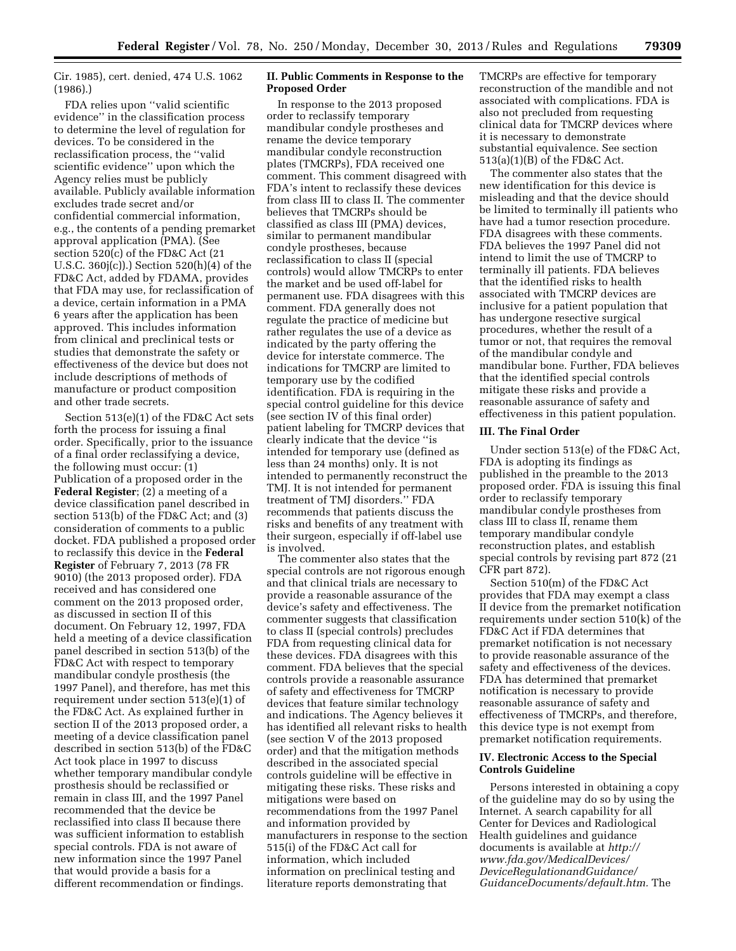Cir. 1985), cert. denied, 474 U.S. 1062 (1986).)

FDA relies upon ''valid scientific evidence'' in the classification process to determine the level of regulation for devices. To be considered in the reclassification process, the ''valid scientific evidence'' upon which the Agency relies must be publicly available. Publicly available information excludes trade secret and/or confidential commercial information, e.g., the contents of a pending premarket approval application (PMA). (See section 520(c) of the FD&C Act (21 U.S.C. 360j(c)).) Section 520(h)(4) of the FD&C Act, added by FDAMA, provides that FDA may use, for reclassification of a device, certain information in a PMA 6 years after the application has been approved. This includes information from clinical and preclinical tests or studies that demonstrate the safety or effectiveness of the device but does not include descriptions of methods of manufacture or product composition and other trade secrets.

Section 513(e)(1) of the FD&C Act sets forth the process for issuing a final order. Specifically, prior to the issuance of a final order reclassifying a device, the following must occur: (1) Publication of a proposed order in the **Federal Register**; (2) a meeting of a device classification panel described in section 513(b) of the FD&C Act; and (3) consideration of comments to a public docket. FDA published a proposed order to reclassify this device in the **Federal Register** of February 7, 2013 (78 FR 9010) (the 2013 proposed order). FDA received and has considered one comment on the 2013 proposed order, as discussed in section II of this document. On February 12, 1997, FDA held a meeting of a device classification panel described in section 513(b) of the FD&C Act with respect to temporary mandibular condyle prosthesis (the 1997 Panel), and therefore, has met this requirement under section 513(e)(1) of the FD&C Act. As explained further in section II of the 2013 proposed order, a meeting of a device classification panel described in section 513(b) of the FD&C Act took place in 1997 to discuss whether temporary mandibular condyle prosthesis should be reclassified or remain in class III, and the 1997 Panel recommended that the device be reclassified into class II because there was sufficient information to establish special controls. FDA is not aware of new information since the 1997 Panel that would provide a basis for a different recommendation or findings.

### **II. Public Comments in Response to the Proposed Order**

In response to the 2013 proposed order to reclassify temporary mandibular condyle prostheses and rename the device temporary mandibular condyle reconstruction plates (TMCRPs), FDA received one comment. This comment disagreed with FDA's intent to reclassify these devices from class III to class II. The commenter believes that TMCRPs should be classified as class III (PMA) devices, similar to permanent mandibular condyle prostheses, because reclassification to class II (special controls) would allow TMCRPs to enter the market and be used off-label for permanent use. FDA disagrees with this comment. FDA generally does not regulate the practice of medicine but rather regulates the use of a device as indicated by the party offering the device for interstate commerce. The indications for TMCRP are limited to temporary use by the codified identification. FDA is requiring in the special control guideline for this device (see section IV of this final order) patient labeling for TMCRP devices that clearly indicate that the device ''is intended for temporary use (defined as less than 24 months) only. It is not intended to permanently reconstruct the TMJ. It is not intended for permanent treatment of TMJ disorders.'' FDA recommends that patients discuss the risks and benefits of any treatment with their surgeon, especially if off-label use is involved.

The commenter also states that the special controls are not rigorous enough and that clinical trials are necessary to provide a reasonable assurance of the device's safety and effectiveness. The commenter suggests that classification to class II (special controls) precludes FDA from requesting clinical data for these devices. FDA disagrees with this comment. FDA believes that the special controls provide a reasonable assurance of safety and effectiveness for TMCRP devices that feature similar technology and indications. The Agency believes it has identified all relevant risks to health (see section V of the 2013 proposed order) and that the mitigation methods described in the associated special controls guideline will be effective in mitigating these risks. These risks and mitigations were based on recommendations from the 1997 Panel and information provided by manufacturers in response to the section 515(i) of the FD&C Act call for information, which included information on preclinical testing and literature reports demonstrating that

TMCRPs are effective for temporary reconstruction of the mandible and not associated with complications. FDA is also not precluded from requesting clinical data for TMCRP devices where it is necessary to demonstrate substantial equivalence. See section 513(a)(1)(B) of the FD&C Act.

The commenter also states that the new identification for this device is misleading and that the device should be limited to terminally ill patients who have had a tumor resection procedure. FDA disagrees with these comments. FDA believes the 1997 Panel did not intend to limit the use of TMCRP to terminally ill patients. FDA believes that the identified risks to health associated with TMCRP devices are inclusive for a patient population that has undergone resective surgical procedures, whether the result of a tumor or not, that requires the removal of the mandibular condyle and mandibular bone. Further, FDA believes that the identified special controls mitigate these risks and provide a reasonable assurance of safety and effectiveness in this patient population.

#### **III. The Final Order**

Under section 513(e) of the FD&C Act, FDA is adopting its findings as published in the preamble to the 2013 proposed order. FDA is issuing this final order to reclassify temporary mandibular condyle prostheses from class III to class II, rename them temporary mandibular condyle reconstruction plates, and establish special controls by revising part 872 (21 CFR part 872).

Section 510(m) of the FD&C Act provides that FDA may exempt a class II device from the premarket notification requirements under section 510(k) of the FD&C Act if FDA determines that premarket notification is not necessary to provide reasonable assurance of the safety and effectiveness of the devices. FDA has determined that premarket notification is necessary to provide reasonable assurance of safety and effectiveness of TMCRPs, and therefore, this device type is not exempt from premarket notification requirements.

## **IV. Electronic Access to the Special Controls Guideline**

Persons interested in obtaining a copy of the guideline may do so by using the Internet. A search capability for all Center for Devices and Radiological Health guidelines and guidance documents is available at *[http://](http://www.fda.gov/MedicalDevices/DeviceRegulationandGuidance/GuidanceDocuments/default.htm) [www.fda.gov/MedicalDevices/](http://www.fda.gov/MedicalDevices/DeviceRegulationandGuidance/GuidanceDocuments/default.htm) [DeviceRegulationandGuidance/](http://www.fda.gov/MedicalDevices/DeviceRegulationandGuidance/GuidanceDocuments/default.htm) [GuidanceDocuments/default.htm.](http://www.fda.gov/MedicalDevices/DeviceRegulationandGuidance/GuidanceDocuments/default.htm)* The